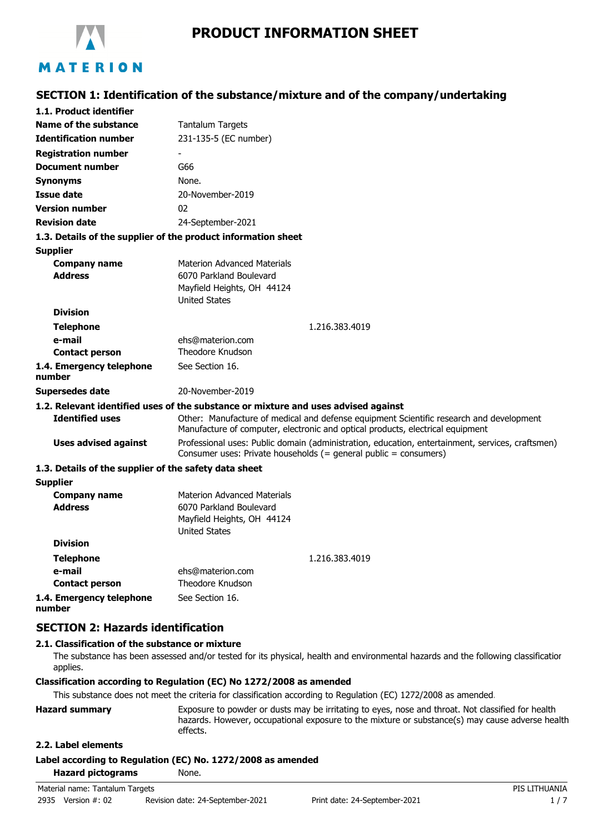

**SECTION 1: Identification of the substance/mixture and of the company/undertaking**

| 1.1. Product identifier                               |                                                                                                                                                                           |
|-------------------------------------------------------|---------------------------------------------------------------------------------------------------------------------------------------------------------------------------|
| Name of the substance                                 | <b>Tantalum Targets</b>                                                                                                                                                   |
| <b>Identification number</b>                          | 231-135-5 (EC number)                                                                                                                                                     |
| <b>Registration number</b>                            |                                                                                                                                                                           |
| <b>Document number</b>                                | G66                                                                                                                                                                       |
| <b>Synonyms</b>                                       | None.                                                                                                                                                                     |
| <b>Issue date</b>                                     | 20-November-2019                                                                                                                                                          |
| <b>Version number</b>                                 | 02                                                                                                                                                                        |
| <b>Revision date</b>                                  | 24-September-2021                                                                                                                                                         |
|                                                       | 1.3. Details of the supplier of the product information sheet                                                                                                             |
| <b>Supplier</b>                                       |                                                                                                                                                                           |
| <b>Company name</b>                                   | <b>Materion Advanced Materials</b>                                                                                                                                        |
| <b>Address</b>                                        | 6070 Parkland Boulevard                                                                                                                                                   |
|                                                       | Mayfield Heights, OH 44124                                                                                                                                                |
|                                                       | <b>United States</b>                                                                                                                                                      |
| <b>Division</b>                                       |                                                                                                                                                                           |
| <b>Telephone</b>                                      | 1.216.383.4019                                                                                                                                                            |
| e-mail<br><b>Contact person</b>                       | ehs@materion.com<br>Theodore Knudson                                                                                                                                      |
|                                                       |                                                                                                                                                                           |
| 1.4. Emergency telephone<br>number                    | See Section 16.                                                                                                                                                           |
| Supersedes date                                       | 20-November-2019                                                                                                                                                          |
|                                                       | 1.2. Relevant identified uses of the substance or mixture and uses advised against                                                                                        |
| <b>Identified uses</b>                                | Other: Manufacture of medical and defense equipment Scientific research and development<br>Manufacture of computer, electronic and optical products, electrical equipment |
| <b>Uses advised against</b>                           | Professional uses: Public domain (administration, education, entertainment, services, craftsmen)<br>Consumer uses: Private households (= general public = consumers)      |
| 1.3. Details of the supplier of the safety data sheet |                                                                                                                                                                           |
| <b>Supplier</b>                                       |                                                                                                                                                                           |
| <b>Company name</b>                                   | <b>Materion Advanced Materials</b>                                                                                                                                        |
| <b>Address</b>                                        | 6070 Parkland Boulevard                                                                                                                                                   |
|                                                       | Mayfield Heights, OH 44124                                                                                                                                                |
| <b>Division</b>                                       | <b>United States</b>                                                                                                                                                      |
|                                                       |                                                                                                                                                                           |
| <b>Telephone</b>                                      | 1.216.383.4019                                                                                                                                                            |
| e-mail<br><b>Contact person</b>                       | ehs@materion.com<br>Theodore Knudson                                                                                                                                      |
| 1.4. Emergency telephone                              | See Section 16.                                                                                                                                                           |
| number                                                |                                                                                                                                                                           |

# **SECTION 2: Hazards identification**

## **2.1. Classification of the substance or mixture**

The substance has been assessed and/or tested for its physical, health and environmental hazards and the following classification applies.

#### **Classification according to Regulation (EC) No 1272/2008 as amended**

This substance does not meet the criteria for classification according to Regulation (EC) 1272/2008 as amended.

| <b>Hazard summary</b> | Exposure to powder or dusts may be irritating to eyes, nose and throat. Not classified for health |
|-----------------------|---------------------------------------------------------------------------------------------------|
|                       | hazards. However, occupational exposure to the mixture or substance(s) may cause adverse health   |
|                       | effects.                                                                                          |

# **2.2. Label elements**

**Label according to Regulation (EC) No. 1272/2008 as amended**

| <b>Hazard pictograms</b> | None. |
|--------------------------|-------|
|                          |       |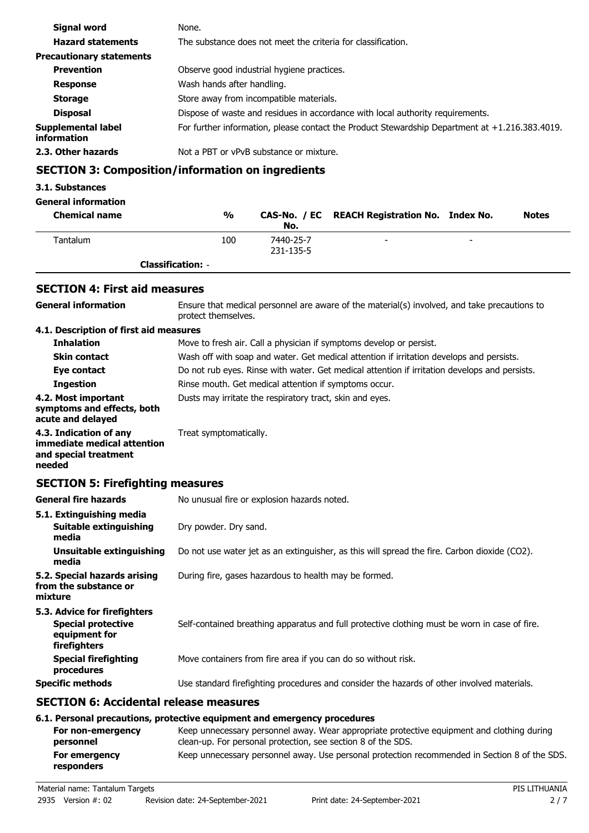| Signal word                       | None.                                                                                          |
|-----------------------------------|------------------------------------------------------------------------------------------------|
| <b>Hazard statements</b>          | The substance does not meet the criteria for classification.                                   |
| <b>Precautionary statements</b>   |                                                                                                |
| <b>Prevention</b>                 | Observe good industrial hygiene practices.                                                     |
| <b>Response</b>                   | Wash hands after handling.                                                                     |
| <b>Storage</b>                    | Store away from incompatible materials.                                                        |
| <b>Disposal</b>                   | Dispose of waste and residues in accordance with local authority requirements.                 |
| Supplemental label<br>information | For further information, please contact the Product Stewardship Department at +1.216.383.4019. |
| 2.3. Other hazards                | Not a PBT or vPvB substance or mixture.                                                        |

# **SECTION 3: Composition/information on ingredients**

## **3.1. Substances**

## **General information**

| <b>Chemical name</b> | %                        | No.                    | CAS-No. / EC REACH Registration No. Index No. |                          | <b>Notes</b> |
|----------------------|--------------------------|------------------------|-----------------------------------------------|--------------------------|--------------|
| Tantalum             | 100                      | 7440-25-7<br>231-135-5 | -                                             | $\overline{\phantom{0}}$ |              |
|                      | <b>Classification:</b> - |                        |                                               |                          |              |

# **SECTION 4: First aid measures**

| <b>General information</b>                                                                 | Ensure that medical personnel are aware of the material(s) involved, and take precautions to<br>protect themselves.                                                                                                                    |  |  |
|--------------------------------------------------------------------------------------------|----------------------------------------------------------------------------------------------------------------------------------------------------------------------------------------------------------------------------------------|--|--|
| 4.1. Description of first aid measures                                                     |                                                                                                                                                                                                                                        |  |  |
| <b>Inhalation</b>                                                                          | Move to fresh air. Call a physician if symptoms develop or persist.                                                                                                                                                                    |  |  |
| <b>Skin contact</b>                                                                        | Wash off with soap and water. Get medical attention if irritation develops and persists.                                                                                                                                               |  |  |
| Eye contact                                                                                | Do not rub eyes. Rinse with water. Get medical attention if irritation develops and persists.                                                                                                                                          |  |  |
| <b>Ingestion</b>                                                                           | Rinse mouth. Get medical attention if symptoms occur.                                                                                                                                                                                  |  |  |
| 4.2. Most important<br>symptoms and effects, both<br>acute and delayed                     | Dusts may irritate the respiratory tract, skin and eyes.                                                                                                                                                                               |  |  |
| 4.3. Indication of any<br>immediate medical attention<br>and special treatment<br>needed   | Treat symptomatically.                                                                                                                                                                                                                 |  |  |
| <b>SECTION 5: Firefighting measures</b>                                                    |                                                                                                                                                                                                                                        |  |  |
| <b>General fire hazards</b>                                                                | No unusual fire or explosion hazards noted.                                                                                                                                                                                            |  |  |
| 5.1. Extinguishing media                                                                   |                                                                                                                                                                                                                                        |  |  |
| Suitable extinguishing<br>media                                                            | Dry powder. Dry sand.                                                                                                                                                                                                                  |  |  |
| <b>Unsuitable extinguishing</b><br>media                                                   | Do not use water jet as an extinguisher, as this will spread the fire. Carbon dioxide (CO2).                                                                                                                                           |  |  |
| 5.2. Special hazards arising<br>from the substance or<br>mixture                           | During fire, gases hazardous to health may be formed.                                                                                                                                                                                  |  |  |
| 5.3. Advice for firefighters<br><b>Special protective</b><br>equipment for<br>firefighters | Self-contained breathing apparatus and full protective clothing must be worn in case of fire.                                                                                                                                          |  |  |
| <b>Special firefighting</b><br>procedures                                                  | Move containers from fire area if you can do so without risk.                                                                                                                                                                          |  |  |
| <b>Specific methods</b>                                                                    | Use standard firefighting procedures and consider the hazards of other involved materials.                                                                                                                                             |  |  |
| <b>SECTION 6: Accidental release measures</b>                                              |                                                                                                                                                                                                                                        |  |  |
| For non-emergency<br>personnel                                                             | 6.1. Personal precautions, protective equipment and emergency procedures<br>Keep unnecessary personnel away. Wear appropriate protective equipment and clothing during<br>clean-up. For personal protection, see section 8 of the SDS. |  |  |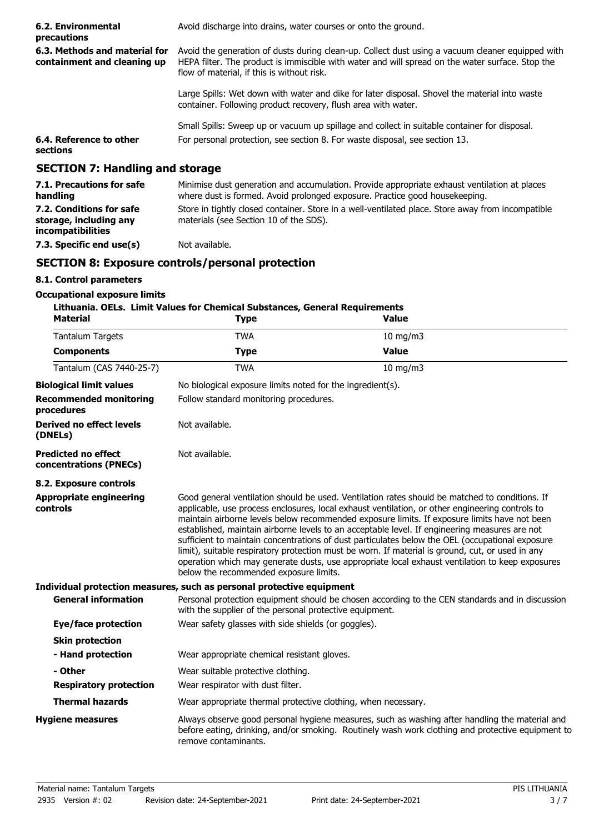| 6.2. Environmental<br>precautions                                       | Avoid discharge into drains, water courses or onto the ground.                                                                                                                                                                                     |                                                                                               |  |  |
|-------------------------------------------------------------------------|----------------------------------------------------------------------------------------------------------------------------------------------------------------------------------------------------------------------------------------------------|-----------------------------------------------------------------------------------------------|--|--|
| 6.3. Methods and material for<br>containment and cleaning up            | Avoid the generation of dusts during clean-up. Collect dust using a vacuum cleaner equipped with<br>HEPA filter. The product is immiscible with water and will spread on the water surface. Stop the<br>flow of material, if this is without risk. |                                                                                               |  |  |
|                                                                         | container. Following product recovery, flush area with water.                                                                                                                                                                                      | Large Spills: Wet down with water and dike for later disposal. Shovel the material into waste |  |  |
|                                                                         |                                                                                                                                                                                                                                                    | Small Spills: Sweep up or vacuum up spillage and collect in suitable container for disposal.  |  |  |
| 6.4. Reference to other<br>sections                                     | For personal protection, see section 8. For waste disposal, see section 13.                                                                                                                                                                        |                                                                                               |  |  |
| <b>SECTION 7: Handling and storage</b>                                  |                                                                                                                                                                                                                                                    |                                                                                               |  |  |
| 7.1. Precautions for safe<br>handling                                   | where dust is formed. Avoid prolonged exposure. Practice good housekeeping.                                                                                                                                                                        | Minimise dust generation and accumulation. Provide appropriate exhaust ventilation at places  |  |  |
| 7.2. Conditions for safe<br>storage, including any<br>incompatibilities | Store in tightly closed container. Store in a well-ventilated place. Store away from incompatible<br>materials (see Section 10 of the SDS).                                                                                                        |                                                                                               |  |  |
| 7.3. Specific end use(s)                                                | Not available.                                                                                                                                                                                                                                     |                                                                                               |  |  |
|                                                                         | <b>SECTION 8: Exposure controls/personal protection</b>                                                                                                                                                                                            |                                                                                               |  |  |
| 8.1. Control parameters                                                 |                                                                                                                                                                                                                                                    |                                                                                               |  |  |
| <b>Occupational exposure limits</b>                                     | Lithuania. OELs. Limit Values for Chemical Substances, General Requirements                                                                                                                                                                        |                                                                                               |  |  |
| <b>Material</b>                                                         | <b>Type</b>                                                                                                                                                                                                                                        | Value                                                                                         |  |  |
| <b>Tantalum Targets</b>                                                 | <b>TWA</b>                                                                                                                                                                                                                                         | $10$ mg/m $3$                                                                                 |  |  |
| <b>Components</b>                                                       | <b>Type</b>                                                                                                                                                                                                                                        | <b>Value</b>                                                                                  |  |  |
| Tantalum (CAS 7440-25-7)                                                | <b>TWA</b>                                                                                                                                                                                                                                         | $10$ mg/m $3$                                                                                 |  |  |
| <b>Biological limit values</b>                                          | No biological exposure limits noted for the ingredient(s).                                                                                                                                                                                         |                                                                                               |  |  |
| <b>Recommended monitoring</b>                                           | Follow standard monitoring procedures.                                                                                                                                                                                                             |                                                                                               |  |  |

| <b>Biological limit values</b>                       | No biological exposure limits noted for the ingredient(s).                                                                                                                                                                                                                                                                                                                                                                                                                                                                                                                                                                                                                                                                                             |  |  |
|------------------------------------------------------|--------------------------------------------------------------------------------------------------------------------------------------------------------------------------------------------------------------------------------------------------------------------------------------------------------------------------------------------------------------------------------------------------------------------------------------------------------------------------------------------------------------------------------------------------------------------------------------------------------------------------------------------------------------------------------------------------------------------------------------------------------|--|--|
| <b>Recommended monitoring</b><br>procedures          | Follow standard monitoring procedures.                                                                                                                                                                                                                                                                                                                                                                                                                                                                                                                                                                                                                                                                                                                 |  |  |
| Derived no effect levels<br>(DNELs)                  | Not available.                                                                                                                                                                                                                                                                                                                                                                                                                                                                                                                                                                                                                                                                                                                                         |  |  |
| <b>Predicted no effect</b><br>concentrations (PNECs) | Not available.                                                                                                                                                                                                                                                                                                                                                                                                                                                                                                                                                                                                                                                                                                                                         |  |  |
| 8.2. Exposure controls                               |                                                                                                                                                                                                                                                                                                                                                                                                                                                                                                                                                                                                                                                                                                                                                        |  |  |
| <b>Appropriate engineering</b><br>controls           | Good general ventilation should be used. Ventilation rates should be matched to conditions. If<br>applicable, use process enclosures, local exhaust ventilation, or other engineering controls to<br>maintain airborne levels below recommended exposure limits. If exposure limits have not been<br>established, maintain airborne levels to an acceptable level. If engineering measures are not<br>sufficient to maintain concentrations of dust particulates below the OEL (occupational exposure<br>limit), suitable respiratory protection must be worn. If material is ground, cut, or used in any<br>operation which may generate dusts, use appropriate local exhaust ventilation to keep exposures<br>below the recommended exposure limits. |  |  |
|                                                      | Individual protection measures, such as personal protective equipment                                                                                                                                                                                                                                                                                                                                                                                                                                                                                                                                                                                                                                                                                  |  |  |
| <b>General information</b>                           | Personal protection equipment should be chosen according to the CEN standards and in discussion<br>with the supplier of the personal protective equipment.                                                                                                                                                                                                                                                                                                                                                                                                                                                                                                                                                                                             |  |  |
| <b>Eye/face protection</b>                           | Wear safety glasses with side shields (or goggles).                                                                                                                                                                                                                                                                                                                                                                                                                                                                                                                                                                                                                                                                                                    |  |  |
| <b>Skin protection</b>                               |                                                                                                                                                                                                                                                                                                                                                                                                                                                                                                                                                                                                                                                                                                                                                        |  |  |
| - Hand protection                                    | Wear appropriate chemical resistant gloves.                                                                                                                                                                                                                                                                                                                                                                                                                                                                                                                                                                                                                                                                                                            |  |  |
| - Other                                              | Wear suitable protective clothing.                                                                                                                                                                                                                                                                                                                                                                                                                                                                                                                                                                                                                                                                                                                     |  |  |
| <b>Respiratory protection</b>                        | Wear respirator with dust filter.                                                                                                                                                                                                                                                                                                                                                                                                                                                                                                                                                                                                                                                                                                                      |  |  |
| <b>Thermal hazards</b>                               | Wear appropriate thermal protective clothing, when necessary.                                                                                                                                                                                                                                                                                                                                                                                                                                                                                                                                                                                                                                                                                          |  |  |
| <b>Hygiene measures</b>                              | Always observe good personal hygiene measures, such as washing after handling the material and<br>before eating, drinking, and/or smoking. Routinely wash work clothing and protective equipment to<br>remove contaminants.                                                                                                                                                                                                                                                                                                                                                                                                                                                                                                                            |  |  |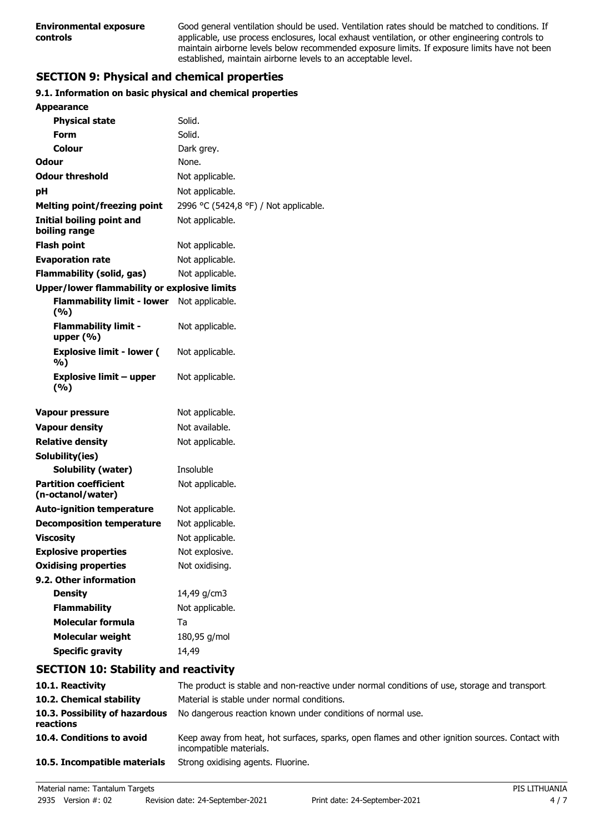Good general ventilation should be used. Ventilation rates should be matched to conditions. If applicable, use process enclosures, local exhaust ventilation, or other engineering controls to maintain airborne levels below recommended exposure limits. If exposure limits have not been established, maintain airborne levels to an acceptable level.

# **SECTION 9: Physical and chemical properties**

## **9.1. Information on basic physical and chemical properties**

| <b>Appearance</b>                                   |                                       |
|-----------------------------------------------------|---------------------------------------|
| <b>Physical state</b>                               | Solid.                                |
| Form                                                | Solid.                                |
| Colour                                              | Dark grey.                            |
| <b>Odour</b>                                        | None.                                 |
| <b>Odour threshold</b>                              | Not applicable.                       |
| рH                                                  | Not applicable.                       |
| <b>Melting point/freezing point</b>                 | 2996 °C (5424,8 °F) / Not applicable. |
| <b>Initial boiling point and</b><br>boiling range   | Not applicable.                       |
| <b>Flash point</b>                                  | Not applicable.                       |
| <b>Evaporation rate</b>                             | Not applicable.                       |
| Flammability (solid, gas)                           | Not applicable.                       |
| <b>Upper/lower flammability or explosive limits</b> |                                       |
| <b>Flammability limit - lower</b><br>(9/6)          | Not applicable.                       |
| <b>Flammability limit -</b><br>upper $(\% )$        | Not applicable.                       |
| <b>Explosive limit - lower (</b><br>%)              | Not applicable.                       |
| <b>Explosive limit - upper</b><br>(%)               | Not applicable.                       |
| <b>Vapour pressure</b>                              | Not applicable.                       |
| <b>Vapour density</b>                               | Not available.                        |
| <b>Relative density</b>                             | Not applicable.                       |
| Solubility(ies)                                     |                                       |
| Solubility (water)                                  | Insoluble                             |
| <b>Partition coefficient</b><br>(n-octanol/water)   | Not applicable.                       |
| <b>Auto-ignition temperature</b>                    | Not applicable.                       |
| <b>Decomposition temperature</b>                    | Not applicable.                       |
| <b>Viscosity</b>                                    | Not applicable.                       |
| <b>Explosive properties</b>                         | Not explosive.                        |
| <b>Oxidising properties</b>                         | Not oxidising.                        |
| 9.2. Other information                              |                                       |
| <b>Density</b>                                      | 14,49 g/cm3                           |
| <b>Flammability</b>                                 | Not applicable.                       |
| <b>Molecular formula</b>                            | Ta                                    |
| <b>Molecular weight</b>                             | 180,95 g/mol                          |
| <b>Specific gravity</b>                             | 14,49                                 |

# **SECTION 10: Stability and reactivity**

| 10.1. Reactivity                            | The product is stable and non-reactive under normal conditions of use, storage and transport                               |
|---------------------------------------------|----------------------------------------------------------------------------------------------------------------------------|
| 10.2. Chemical stability                    | Material is stable under normal conditions.                                                                                |
| 10.3. Possibility of hazardous<br>reactions | No dangerous reaction known under conditions of normal use.                                                                |
| 10.4. Conditions to avoid                   | Keep away from heat, hot surfaces, sparks, open flames and other ignition sources. Contact with<br>incompatible materials. |
| 10.5. Incompatible materials                | Strong oxidising agents. Fluorine.                                                                                         |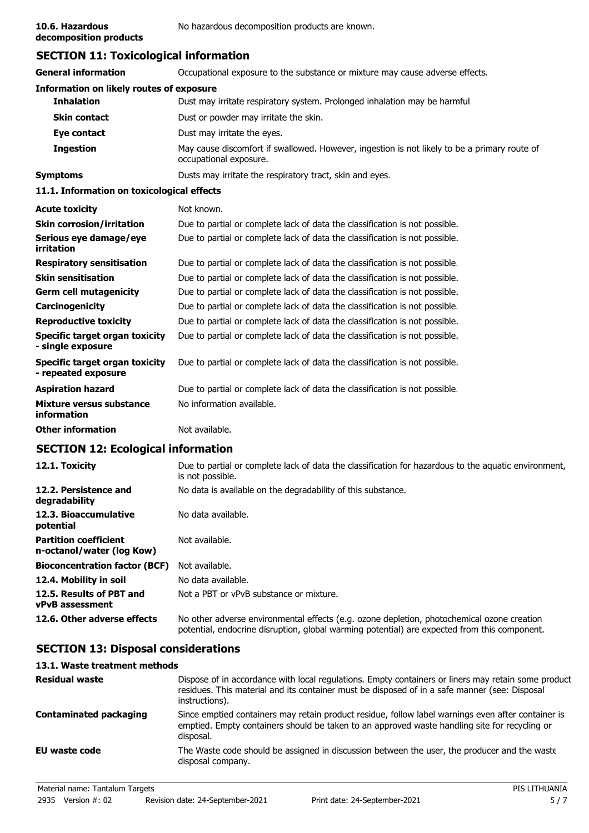**decomposition products**

# **SECTION 11: Toxicological information**

| <b>General information</b>                                 | Occupational exposure to the substance or mixture may cause adverse effects.                                           |  |  |
|------------------------------------------------------------|------------------------------------------------------------------------------------------------------------------------|--|--|
| <b>Information on likely routes of exposure</b>            |                                                                                                                        |  |  |
| <b>Inhalation</b>                                          | Dust may irritate respiratory system. Prolonged inhalation may be harmful.                                             |  |  |
| <b>Skin contact</b>                                        | Dust or powder may irritate the skin.                                                                                  |  |  |
| Eye contact                                                | Dust may irritate the eyes.                                                                                            |  |  |
| <b>Ingestion</b>                                           | May cause discomfort if swallowed. However, ingestion is not likely to be a primary route of<br>occupational exposure. |  |  |
| <b>Symptoms</b>                                            | Dusts may irritate the respiratory tract, skin and eyes.                                                               |  |  |
| 11.1. Information on toxicological effects                 |                                                                                                                        |  |  |
| <b>Acute toxicity</b>                                      | Not known.                                                                                                             |  |  |
| <b>Skin corrosion/irritation</b>                           | Due to partial or complete lack of data the classification is not possible.                                            |  |  |
| Serious eye damage/eye<br>irritation                       | Due to partial or complete lack of data the classification is not possible.                                            |  |  |
| <b>Respiratory sensitisation</b>                           | Due to partial or complete lack of data the classification is not possible.                                            |  |  |
| <b>Skin sensitisation</b>                                  | Due to partial or complete lack of data the classification is not possible.                                            |  |  |
| <b>Germ cell mutagenicity</b>                              | Due to partial or complete lack of data the classification is not possible.                                            |  |  |
| Carcinogenicity                                            | Due to partial or complete lack of data the classification is not possible.                                            |  |  |
| <b>Reproductive toxicity</b>                               | Due to partial or complete lack of data the classification is not possible.                                            |  |  |
| <b>Specific target organ toxicity</b><br>- single exposure | Due to partial or complete lack of data the classification is not possible.                                            |  |  |
| Specific target organ toxicity<br>- repeated exposure      | Due to partial or complete lack of data the classification is not possible.                                            |  |  |
| <b>Aspiration hazard</b>                                   | Due to partial or complete lack of data the classification is not possible.                                            |  |  |
| <b>Mixture versus substance</b><br>information             | No information available.                                                                                              |  |  |
| <b>Other information</b>                                   | Not available.                                                                                                         |  |  |
|                                                            |                                                                                                                        |  |  |

# **SECTION 12: Ecological information**

| 12.1. Toxicity                                            | Due to partial or complete lack of data the classification for hazardous to the aquatic environment,<br>is not possible.                                                                   |
|-----------------------------------------------------------|--------------------------------------------------------------------------------------------------------------------------------------------------------------------------------------------|
| 12.2. Persistence and<br>degradability                    | No data is available on the degradability of this substance.                                                                                                                               |
| 12.3. Bioaccumulative<br>potential                        | No data available.                                                                                                                                                                         |
| <b>Partition coefficient</b><br>n-octanol/water (log Kow) | Not available.                                                                                                                                                                             |
| <b>Bioconcentration factor (BCF)</b>                      | Not available.                                                                                                                                                                             |
| 12.4. Mobility in soil                                    | No data available.                                                                                                                                                                         |
| 12.5. Results of PBT and<br><b>vPvB</b> assessment        | Not a PBT or vPvB substance or mixture.                                                                                                                                                    |
| 12.6. Other adverse effects                               | No other adverse environmental effects (e.g. ozone depletion, photochemical ozone creation<br>potential, endocrine disruption, global warming potential) are expected from this component. |

# **SECTION 13: Disposal considerations**

## **13.1. Waste treatment methods**

| <b>Residual waste</b>         | Dispose of in accordance with local regulations. Empty containers or liners may retain some product<br>residues. This material and its container must be disposed of in a safe manner (see: Disposal<br>instructions). |
|-------------------------------|------------------------------------------------------------------------------------------------------------------------------------------------------------------------------------------------------------------------|
| <b>Contaminated packaging</b> | Since emptied containers may retain product residue, follow label warnings even after container is<br>emptied. Empty containers should be taken to an approved waste handling site for recycling or<br>disposal.       |
| EU waste code                 | The Waste code should be assigned in discussion between the user, the producer and the waste<br>disposal company.                                                                                                      |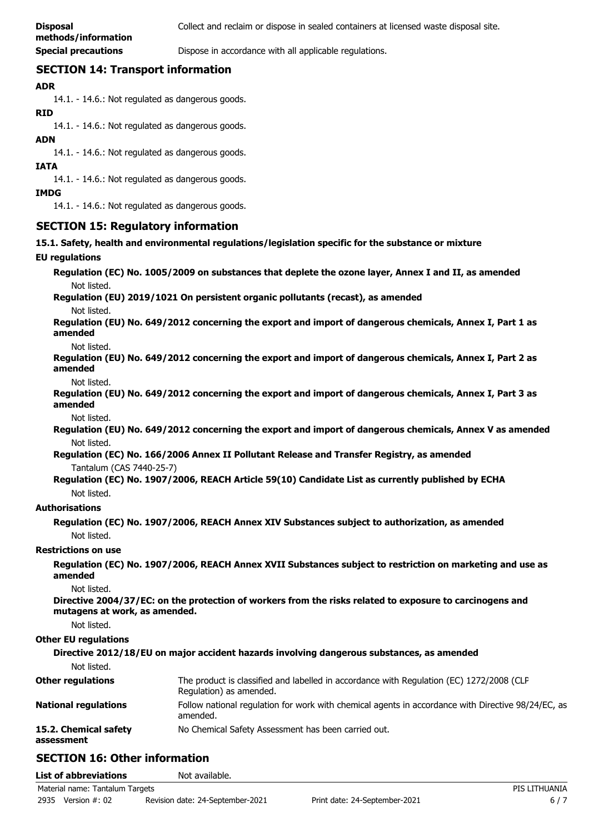**Special precautions Dispose in accordance with all applicable regulations.** 

# **SECTION 14: Transport information**

## **ADR**

14.1. - 14.6.: Not regulated as dangerous goods.

#### **RID**

14.1. - 14.6.: Not regulated as dangerous goods.

## **ADN**

14.1. - 14.6.: Not regulated as dangerous goods.

#### **IATA**

14.1. - 14.6.: Not regulated as dangerous goods.

#### **IMDG**

14.1. - 14.6.: Not regulated as dangerous goods.

## **SECTION 15: Regulatory information**

**15.1. Safety, health and environmental regulations/legislation specific for the substance or mixture**

#### **EU regulations**

**Regulation (EC) No. 1005/2009 on substances that deplete the ozone layer, Annex I and II, as amended** Not listed.

**Regulation (EU) 2019/1021 On persistent organic pollutants (recast), as amended**

Not listed.

**Regulation (EU) No. 649/2012 concerning the export and import of dangerous chemicals, Annex I, Part 1 as amended**

Not listed.

**Regulation (EU) No. 649/2012 concerning the export and import of dangerous chemicals, Annex I, Part 2 as amended**

Not listed.

**Regulation (EU) No. 649/2012 concerning the export and import of dangerous chemicals, Annex I, Part 3 as amended**

Not listed.

**Regulation (EU) No. 649/2012 concerning the export and import of dangerous chemicals, Annex V as amended** Not listed.

**Regulation (EC) No. 166/2006 Annex II Pollutant Release and Transfer Registry, as amended** Tantalum (CAS 7440-25-7)

**Regulation (EC) No. 1907/2006, REACH Article 59(10) Candidate List as currently published by ECHA** Not listed.

## **Authorisations**

**Regulation (EC) No. 1907/2006, REACH Annex XIV Substances subject to authorization, as amended** Not listed.

## **Restrictions on use**

**Regulation (EC) No. 1907/2006, REACH Annex XVII Substances subject to restriction on marketing and use as amended**

Not listed.

**Directive 2004/37/EC: on the protection of workers from the risks related to exposure to carcinogens and mutagens at work, as amended.**

Not listed.

## **Other EU regulations**

**Directive 2012/18/EU on major accident hazards involving dangerous substances, as amended** Not listed. The product is classified and labelled in accordance with Regulation (EC) 1272/2008 (CLP Regulation) as amended. **Other regulations** Follow national regulation for work with chemical agents in accordance with Directive 98/24/EC, as amended. **National regulations 15.2. Chemical safety** No Chemical Safety Assessment has been carried out. **assessment**

# **SECTION 16: Other information**

| <b>List of abbreviations</b>    | Not available.                   |                               |               |
|---------------------------------|----------------------------------|-------------------------------|---------------|
| Material name: Tantalum Targets |                                  |                               | PIS LITHUANIA |
| 2935<br>Version #: 02           | Revision date: 24-September-2021 | Print date: 24-September-2021 | $6/7$         |